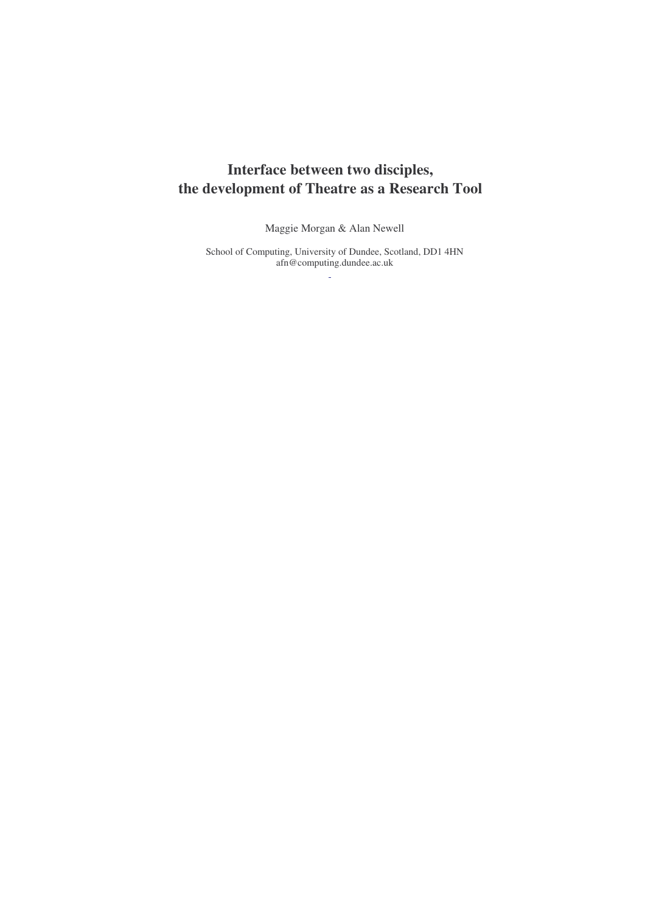# **Interface between two disciples, the development of Theatre as a Research Tool**

Maggie Morgan & Alan Newell

School of Computing, University of Dundee, Scotland, DD1 4HN afn@computing.dundee.ac.uk

 $\mathbb{Z}$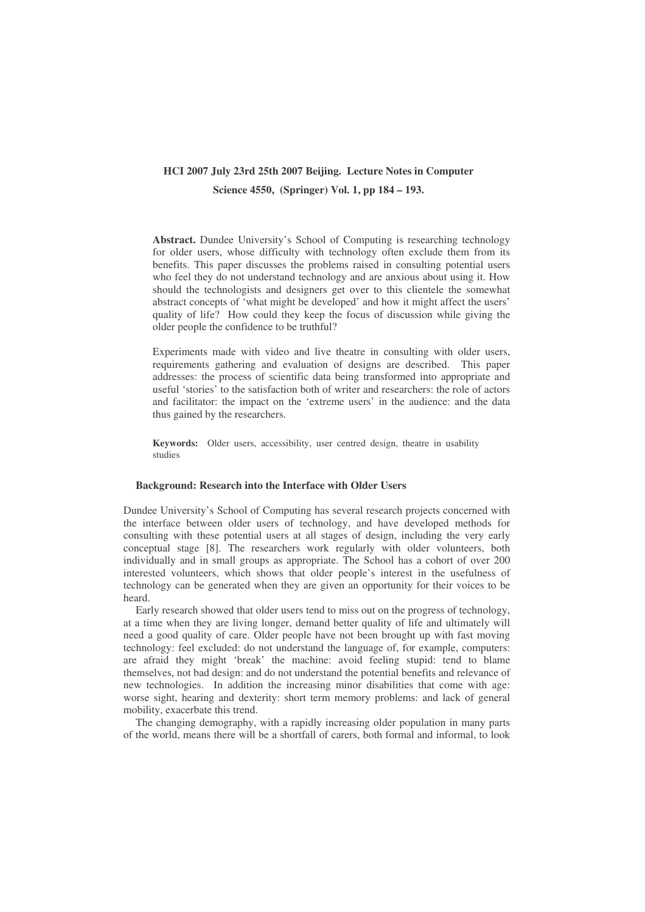## **HCI 2007 July 23rd 25th 2007 Beijing. Lecture Notes in Computer Science 4550, (Springer) Vol. 1, pp 184 – 193.**

**Abstract.** Dundee University's School of Computing is researching technology for older users, whose difficulty with technology often exclude them from its benefits. This paper discusses the problems raised in consulting potential users who feel they do not understand technology and are anxious about using it. How should the technologists and designers get over to this clientele the somewhat abstract concepts of 'what might be developed' and how it might affect the users' quality of life? How could they keep the focus of discussion while giving the older people the confidence to be truthful?

Experiments made with video and live theatre in consulting with older users, requirements gathering and evaluation of designs are described. This paper addresses: the process of scientific data being transformed into appropriate and useful 'stories' to the satisfaction both of writer and researchers: the role of actors and facilitator: the impact on the 'extreme users' in the audience: and the data thus gained by the researchers.

**Keywords:** Older users, accessibility, user centred design, theatre in usability studies

#### **Background: Research into the Interface with Older Users**

Dundee University's School of Computing has several research projects concerned with the interface between older users of technology, and have developed methods for consulting with these potential users at all stages of design, including the very early conceptual stage [8]. The researchers work regularly with older volunteers, both individually and in small groups as appropriate. The School has a cohort of over 200 interested volunteers, which shows that older people's interest in the usefulness of technology can be generated when they are given an opportunity for their voices to be heard.

Early research showed that older users tend to miss out on the progress of technology, at a time when they are living longer, demand better quality of life and ultimately will need a good quality of care. Older people have not been brought up with fast moving technology: feel excluded: do not understand the language of, for example, computers: are afraid they might 'break' the machine: avoid feeling stupid: tend to blame themselves, not bad design: and do not understand the potential benefits and relevance of new technologies. In addition the increasing minor disabilities that come with age: worse sight, hearing and dexterity: short term memory problems: and lack of general mobility, exacerbate this trend.

The changing demography, with a rapidly increasing older population in many parts of the world, means there will be a shortfall of carers, both formal and informal, to look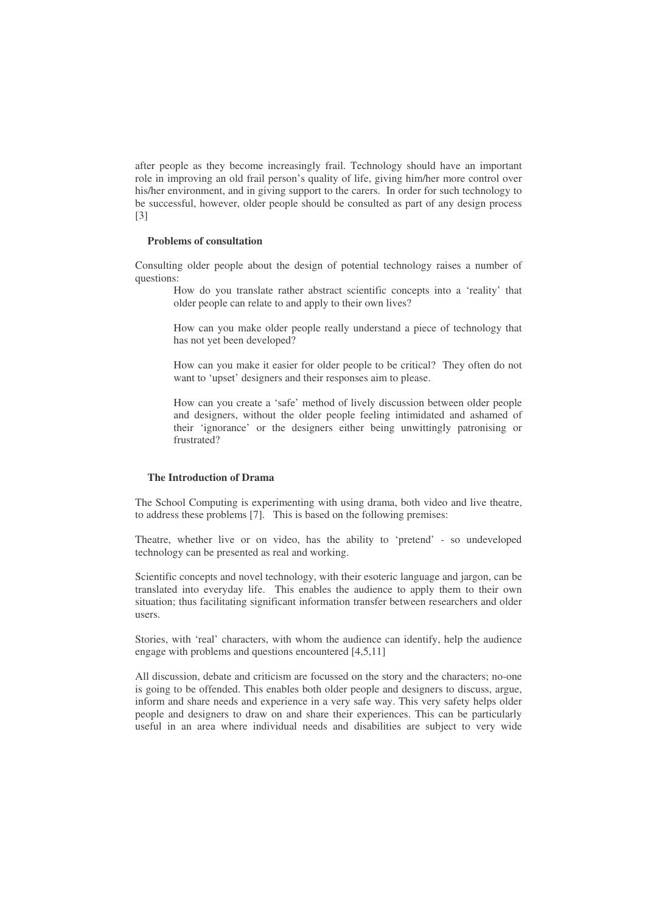after people as they become increasingly frail. Technology should have an important role in improving an old frail person's quality of life, giving him/her more control over his/her environment, and in giving support to the carers. In order for such technology to be successful, however, older people should be consulted as part of any design process [3]

## **Problems of consultation**

Consulting older people about the design of potential technology raises a number of questions:

How do you translate rather abstract scientific concepts into a 'reality' that older people can relate to and apply to their own lives?

How can you make older people really understand a piece of technology that has not yet been developed?

How can you make it easier for older people to be critical? They often do not want to 'upset' designers and their responses aim to please.

How can you create a 'safe' method of lively discussion between older people and designers, without the older people feeling intimidated and ashamed of their 'ignorance' or the designers either being unwittingly patronising or frustrated?

## **The Introduction of Drama**

The School Computing is experimenting with using drama, both video and live theatre, to address these problems [7]. This is based on the following premises:

Theatre, whether live or on video, has the ability to 'pretend' - so undeveloped technology can be presented as real and working.

Scientific concepts and novel technology, with their esoteric language and jargon, can be translated into everyday life. This enables the audience to apply them to their own situation; thus facilitating significant information transfer between researchers and older users.

Stories, with 'real' characters, with whom the audience can identify, help the audience engage with problems and questions encountered [4,5,11]

All discussion, debate and criticism are focussed on the story and the characters; no-one is going to be offended. This enables both older people and designers to discuss, argue, inform and share needs and experience in a very safe way. This very safety helps older people and designers to draw on and share their experiences. This can be particularly useful in an area where individual needs and disabilities are subject to very wide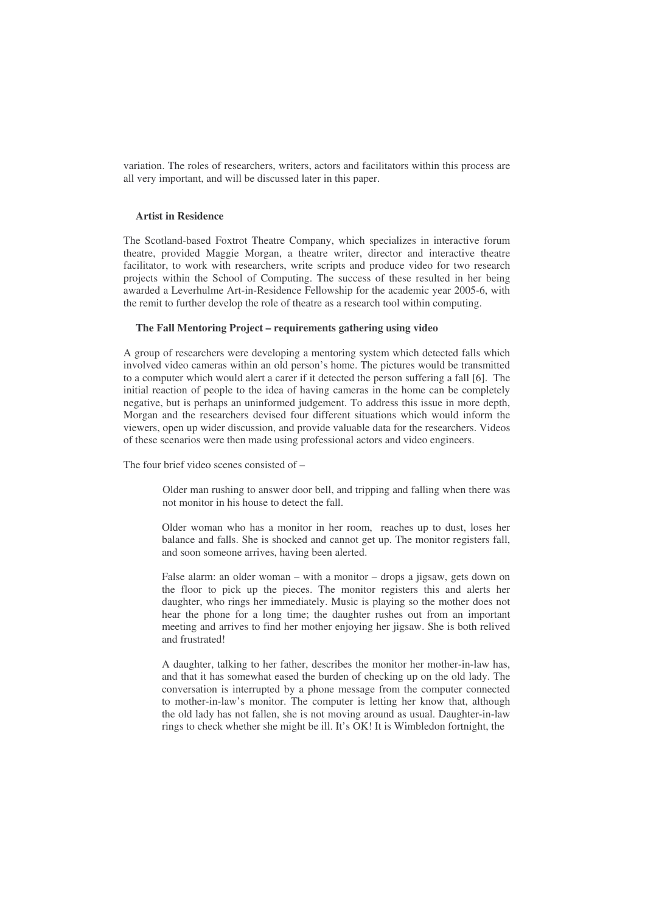variation. The roles of researchers, writers, actors and facilitators within this process are all very important, and will be discussed later in this paper.

## **Artist in Residence**

The Scotland-based Foxtrot Theatre Company, which specializes in interactive forum theatre, provided Maggie Morgan, a theatre writer, director and interactive theatre facilitator, to work with researchers, write scripts and produce video for two research projects within the School of Computing. The success of these resulted in her being awarded a Leverhulme Art-in-Residence Fellowship for the academic year 2005-6, with the remit to further develop the role of theatre as a research tool within computing.

## **The Fall Mentoring Project – requirements gathering using video**

A group of researchers were developing a mentoring system which detected falls which involved video cameras within an old person's home. The pictures would be transmitted to a computer which would alert a carer if it detected the person suffering a fall [6]. The initial reaction of people to the idea of having cameras in the home can be completely negative, but is perhaps an uninformed judgement. To address this issue in more depth, Morgan and the researchers devised four different situations which would inform the viewers, open up wider discussion, and provide valuable data for the researchers. Videos of these scenarios were then made using professional actors and video engineers.

The four brief video scenes consisted of –

Older man rushing to answer door bell, and tripping and falling when there was not monitor in his house to detect the fall.

Older woman who has a monitor in her room, reaches up to dust, loses her balance and falls. She is shocked and cannot get up. The monitor registers fall, and soon someone arrives, having been alerted.

False alarm: an older woman – with a monitor – drops a jigsaw, gets down on the floor to pick up the pieces. The monitor registers this and alerts her daughter, who rings her immediately. Music is playing so the mother does not hear the phone for a long time; the daughter rushes out from an important meeting and arrives to find her mother enjoying her jigsaw. She is both relived and frustrated!

A daughter, talking to her father, describes the monitor her mother-in-law has, and that it has somewhat eased the burden of checking up on the old lady. The conversation is interrupted by a phone message from the computer connected to mother-in-law's monitor. The computer is letting her know that, although the old lady has not fallen, she is not moving around as usual. Daughter-in-law rings to check whether she might be ill. It's OK! It is Wimbledon fortnight, the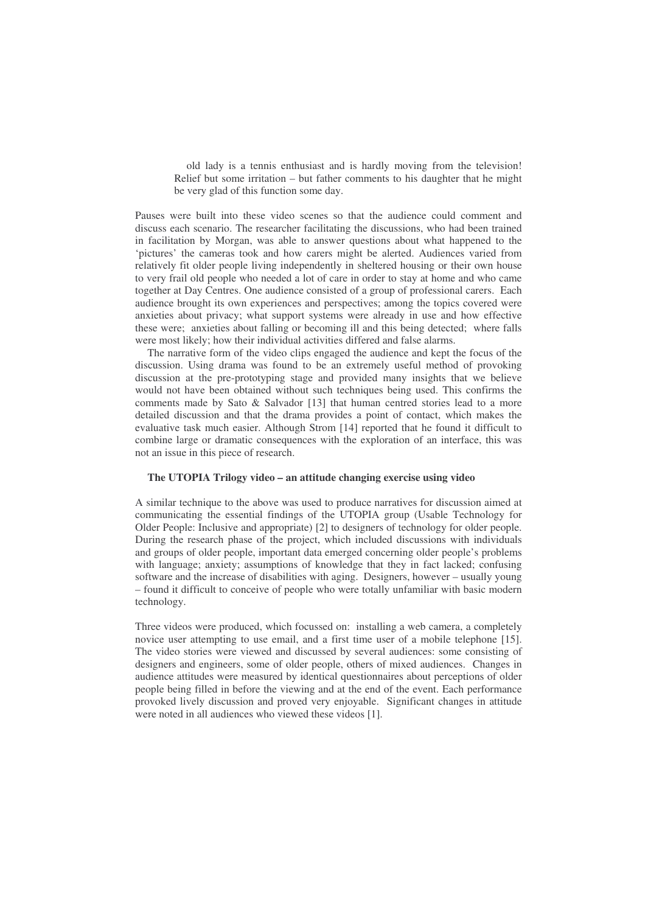old lady is a tennis enthusiast and is hardly moving from the television! Relief but some irritation – but father comments to his daughter that he might be very glad of this function some day.

Pauses were built into these video scenes so that the audience could comment and discuss each scenario. The researcher facilitating the discussions, who had been trained in facilitation by Morgan, was able to answer questions about what happened to the 'pictures' the cameras took and how carers might be alerted. Audiences varied from relatively fit older people living independently in sheltered housing or their own house to very frail old people who needed a lot of care in order to stay at home and who came together at Day Centres. One audience consisted of a group of professional carers. Each audience brought its own experiences and perspectives; among the topics covered were anxieties about privacy; what support systems were already in use and how effective these were; anxieties about falling or becoming ill and this being detected; where falls were most likely; how their individual activities differed and false alarms.

The narrative form of the video clips engaged the audience and kept the focus of the discussion. Using drama was found to be an extremely useful method of provoking discussion at the pre-prototyping stage and provided many insights that we believe would not have been obtained without such techniques being used. This confirms the comments made by Sato & Salvador [13] that human centred stories lead to a more detailed discussion and that the drama provides a point of contact, which makes the evaluative task much easier. Although Strom [14] reported that he found it difficult to combine large or dramatic consequences with the exploration of an interface, this was not an issue in this piece of research.

## **The UTOPIA Trilogy video – an attitude changing exercise using video**

A similar technique to the above was used to produce narratives for discussion aimed at communicating the essential findings of the UTOPIA group (Usable Technology for Older People: Inclusive and appropriate) [2] to designers of technology for older people. During the research phase of the project, which included discussions with individuals and groups of older people, important data emerged concerning older people's problems with language; anxiety; assumptions of knowledge that they in fact lacked; confusing software and the increase of disabilities with aging. Designers, however – usually young – found it difficult to conceive of people who were totally unfamiliar with basic modern technology.

Three videos were produced, which focussed on: installing a web camera, a completely novice user attempting to use email, and a first time user of a mobile telephone [15]. The video stories were viewed and discussed by several audiences: some consisting of designers and engineers, some of older people, others of mixed audiences. Changes in audience attitudes were measured by identical questionnaires about perceptions of older people being filled in before the viewing and at the end of the event. Each performance provoked lively discussion and proved very enjoyable. Significant changes in attitude were noted in all audiences who viewed these videos [1].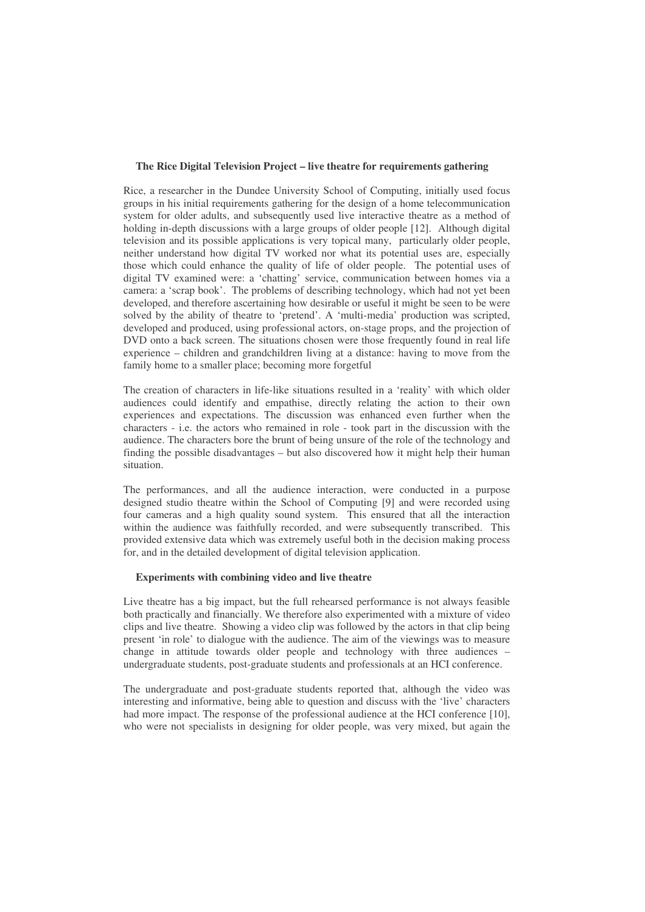## **The Rice Digital Television Project – live theatre for requirements gathering**

Rice, a researcher in the Dundee University School of Computing, initially used focus groups in his initial requirements gathering for the design of a home telecommunication system for older adults, and subsequently used live interactive theatre as a method of holding in-depth discussions with a large groups of older people [12]. Although digital television and its possible applications is very topical many, particularly older people, neither understand how digital TV worked nor what its potential uses are, especially those which could enhance the quality of life of older people. The potential uses of digital TV examined were: a 'chatting' service, communication between homes via a camera: a 'scrap book'. The problems of describing technology, which had not yet been developed, and therefore ascertaining how desirable or useful it might be seen to be were solved by the ability of theatre to 'pretend'. A 'multi-media' production was scripted, developed and produced, using professional actors, on-stage props, and the projection of DVD onto a back screen. The situations chosen were those frequently found in real life experience – children and grandchildren living at a distance: having to move from the family home to a smaller place; becoming more forgetful

The creation of characters in life-like situations resulted in a 'reality' with which older audiences could identify and empathise, directly relating the action to their own experiences and expectations. The discussion was enhanced even further when the characters - i.e. the actors who remained in role - took part in the discussion with the audience. The characters bore the brunt of being unsure of the role of the technology and finding the possible disadvantages – but also discovered how it might help their human situation.

The performances, and all the audience interaction, were conducted in a purpose designed studio theatre within the School of Computing [9] and were recorded using four cameras and a high quality sound system. This ensured that all the interaction within the audience was faithfully recorded, and were subsequently transcribed. This provided extensive data which was extremely useful both in the decision making process for, and in the detailed development of digital television application.

## **Experiments with combining video and live theatre**

Live theatre has a big impact, but the full rehearsed performance is not always feasible both practically and financially. We therefore also experimented with a mixture of video clips and live theatre. Showing a video clip was followed by the actors in that clip being present 'in role' to dialogue with the audience. The aim of the viewings was to measure change in attitude towards older people and technology with three audiences – undergraduate students, post-graduate students and professionals at an HCI conference.

The undergraduate and post-graduate students reported that, although the video was interesting and informative, being able to question and discuss with the 'live' characters had more impact. The response of the professional audience at the HCI conference [10], who were not specialists in designing for older people, was very mixed, but again the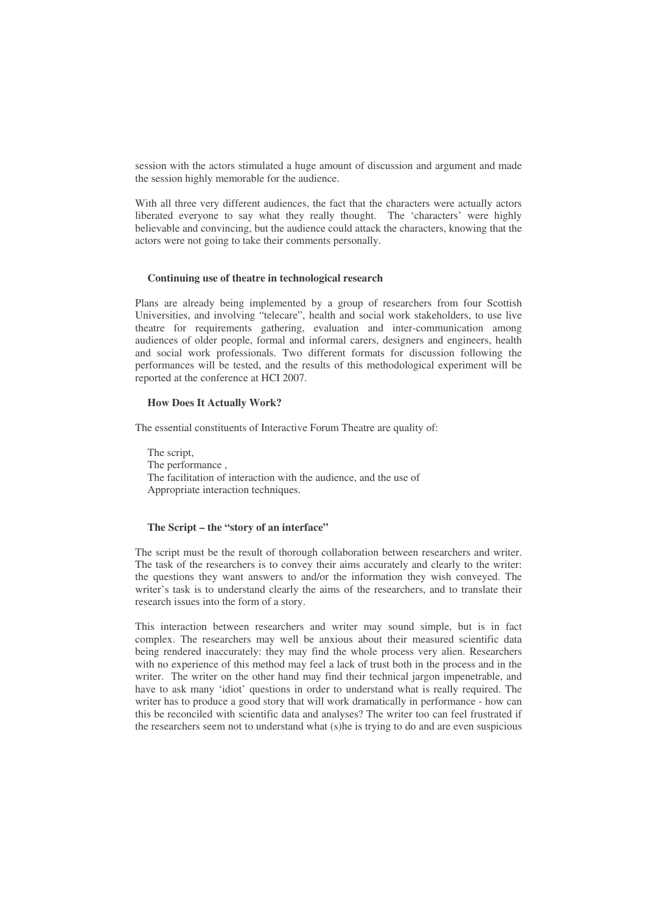session with the actors stimulated a huge amount of discussion and argument and made the session highly memorable for the audience.

With all three very different audiences, the fact that the characters were actually actors liberated everyone to say what they really thought. The 'characters' were highly believable and convincing, but the audience could attack the characters, knowing that the actors were not going to take their comments personally.

#### **Continuing use of theatre in technological research**

Plans are already being implemented by a group of researchers from four Scottish Universities, and involving "telecare", health and social work stakeholders, to use live theatre for requirements gathering, evaluation and inter-communication among audiences of older people, formal and informal carers, designers and engineers, health and social work professionals. Two different formats for discussion following the performances will be tested, and the results of this methodological experiment will be reported at the conference at HCI 2007.

## **How Does It Actually Work?**

The essential constituents of Interactive Forum Theatre are quality of:

The script, The performance , The facilitation of interaction with the audience, and the use of Appropriate interaction techniques.

## **The Script – the "story of an interface"**

The script must be the result of thorough collaboration between researchers and writer. The task of the researchers is to convey their aims accurately and clearly to the writer: the questions they want answers to and/or the information they wish conveyed. The writer's task is to understand clearly the aims of the researchers, and to translate their research issues into the form of a story.

This interaction between researchers and writer may sound simple, but is in fact complex. The researchers may well be anxious about their measured scientific data being rendered inaccurately: they may find the whole process very alien. Researchers with no experience of this method may feel a lack of trust both in the process and in the writer. The writer on the other hand may find their technical jargon impenetrable, and have to ask many 'idiot' questions in order to understand what is really required. The writer has to produce a good story that will work dramatically in performance - how can this be reconciled with scientific data and analyses? The writer too can feel frustrated if the researchers seem not to understand what (s)he is trying to do and are even suspicious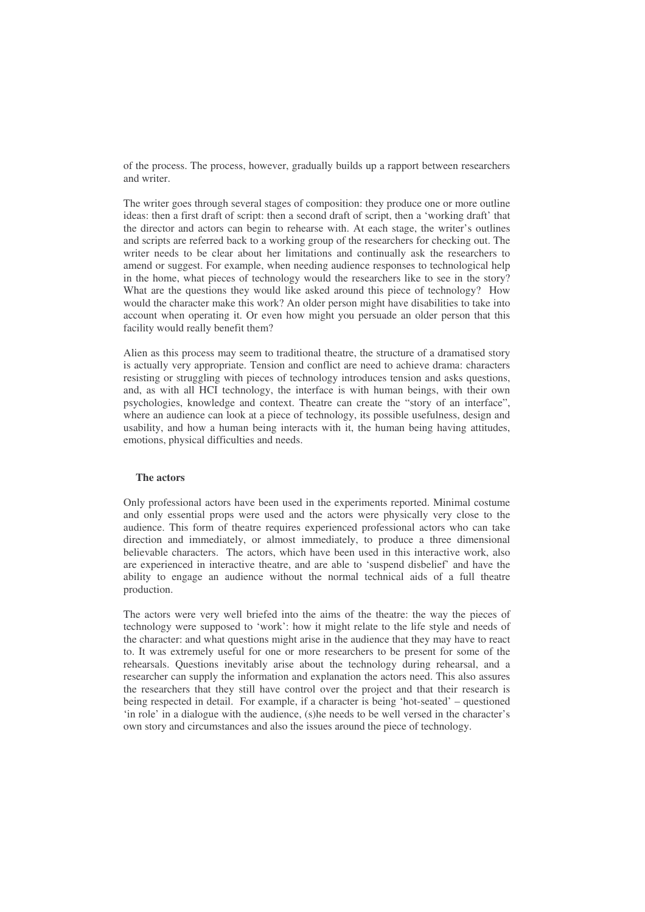of the process. The process, however, gradually builds up a rapport between researchers and writer.

The writer goes through several stages of composition: they produce one or more outline ideas: then a first draft of script: then a second draft of script, then a 'working draft' that the director and actors can begin to rehearse with. At each stage, the writer's outlines and scripts are referred back to a working group of the researchers for checking out. The writer needs to be clear about her limitations and continually ask the researchers to amend or suggest. For example, when needing audience responses to technological help in the home, what pieces of technology would the researchers like to see in the story? What are the questions they would like asked around this piece of technology? How would the character make this work? An older person might have disabilities to take into account when operating it. Or even how might you persuade an older person that this facility would really benefit them?

Alien as this process may seem to traditional theatre, the structure of a dramatised story is actually very appropriate. Tension and conflict are need to achieve drama: characters resisting or struggling with pieces of technology introduces tension and asks questions, and, as with all HCI technology, the interface is with human beings, with their own psychologies, knowledge and context. Theatre can create the "story of an interface", where an audience can look at a piece of technology, its possible usefulness, design and usability, and how a human being interacts with it, the human being having attitudes, emotions, physical difficulties and needs.

## **The actors**

Only professional actors have been used in the experiments reported. Minimal costume and only essential props were used and the actors were physically very close to the audience. This form of theatre requires experienced professional actors who can take direction and immediately, or almost immediately, to produce a three dimensional believable characters. The actors, which have been used in this interactive work, also are experienced in interactive theatre, and are able to 'suspend disbelief' and have the ability to engage an audience without the normal technical aids of a full theatre production.

The actors were very well briefed into the aims of the theatre: the way the pieces of technology were supposed to 'work': how it might relate to the life style and needs of the character: and what questions might arise in the audience that they may have to react to. It was extremely useful for one or more researchers to be present for some of the rehearsals. Questions inevitably arise about the technology during rehearsal, and a researcher can supply the information and explanation the actors need. This also assures the researchers that they still have control over the project and that their research is being respected in detail. For example, if a character is being 'hot-seated' – questioned 'in role' in a dialogue with the audience, (s)he needs to be well versed in the character's own story and circumstances and also the issues around the piece of technology.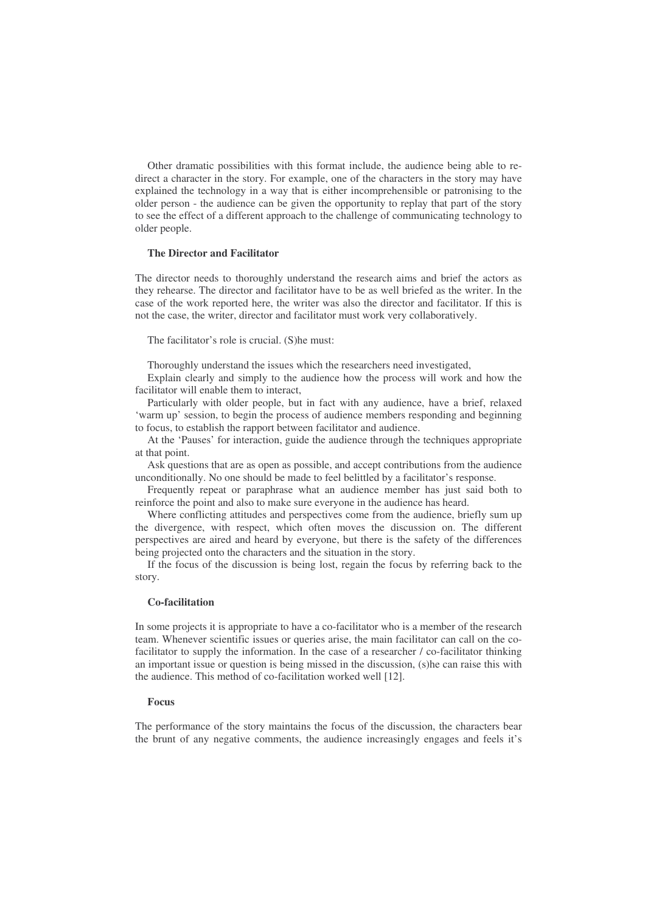Other dramatic possibilities with this format include, the audience being able to redirect a character in the story. For example, one of the characters in the story may have explained the technology in a way that is either incomprehensible or patronising to the older person - the audience can be given the opportunity to replay that part of the story to see the effect of a different approach to the challenge of communicating technology to older people.

## **The Director and Facilitator**

The director needs to thoroughly understand the research aims and brief the actors as they rehearse. The director and facilitator have to be as well briefed as the writer. In the case of the work reported here, the writer was also the director and facilitator. If this is not the case, the writer, director and facilitator must work very collaboratively.

The facilitator's role is crucial. (S)he must:

Thoroughly understand the issues which the researchers need investigated,

Explain clearly and simply to the audience how the process will work and how the facilitator will enable them to interact,

Particularly with older people, but in fact with any audience, have a brief, relaxed 'warm up' session, to begin the process of audience members responding and beginning to focus, to establish the rapport between facilitator and audience.

At the 'Pauses' for interaction, guide the audience through the techniques appropriate at that point.

Ask questions that are as open as possible, and accept contributions from the audience unconditionally. No one should be made to feel belittled by a facilitator's response.

Frequently repeat or paraphrase what an audience member has just said both to reinforce the point and also to make sure everyone in the audience has heard.

Where conflicting attitudes and perspectives come from the audience, briefly sum up the divergence, with respect, which often moves the discussion on. The different perspectives are aired and heard by everyone, but there is the safety of the differences being projected onto the characters and the situation in the story.

If the focus of the discussion is being lost, regain the focus by referring back to the story.

## **Co-facilitation**

In some projects it is appropriate to have a co-facilitator who is a member of the research team. Whenever scientific issues or queries arise, the main facilitator can call on the cofacilitator to supply the information. In the case of a researcher / co-facilitator thinking an important issue or question is being missed in the discussion, (s)he can raise this with the audience. This method of co-facilitation worked well [12].

#### **Focus**

The performance of the story maintains the focus of the discussion, the characters bear the brunt of any negative comments, the audience increasingly engages and feels it's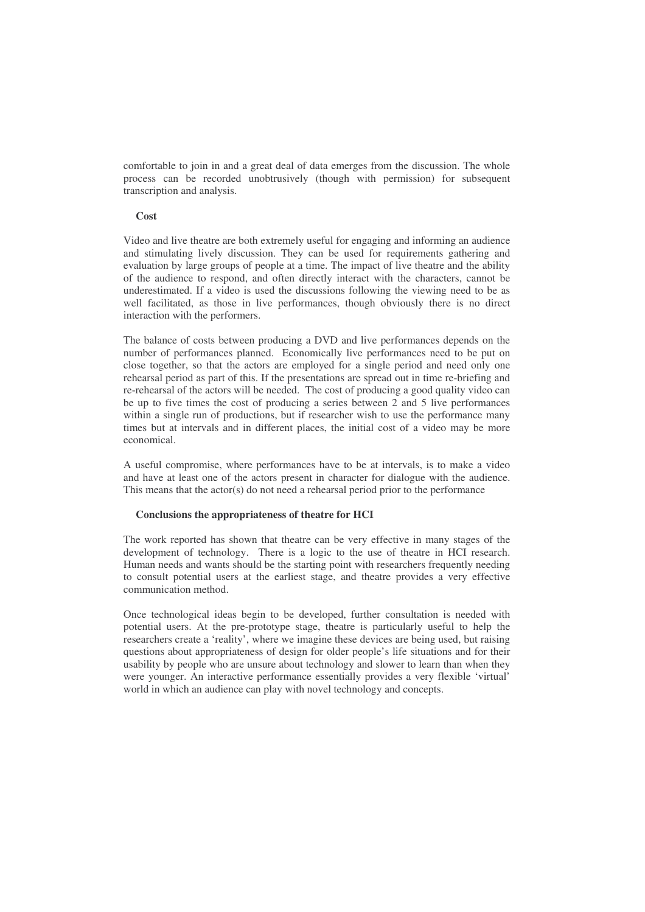comfortable to join in and a great deal of data emerges from the discussion. The whole process can be recorded unobtrusively (though with permission) for subsequent transcription and analysis.

## **Cost**

Video and live theatre are both extremely useful for engaging and informing an audience and stimulating lively discussion. They can be used for requirements gathering and evaluation by large groups of people at a time. The impact of live theatre and the ability of the audience to respond, and often directly interact with the characters, cannot be underestimated. If a video is used the discussions following the viewing need to be as well facilitated, as those in live performances, though obviously there is no direct interaction with the performers.

The balance of costs between producing a DVD and live performances depends on the number of performances planned. Economically live performances need to be put on close together, so that the actors are employed for a single period and need only one rehearsal period as part of this. If the presentations are spread out in time re-briefing and re-rehearsal of the actors will be needed. The cost of producing a good quality video can be up to five times the cost of producing a series between 2 and 5 live performances within a single run of productions, but if researcher wish to use the performance many times but at intervals and in different places, the initial cost of a video may be more economical.

A useful compromise, where performances have to be at intervals, is to make a video and have at least one of the actors present in character for dialogue with the audience. This means that the actor(s) do not need a rehearsal period prior to the performance

## **Conclusions the appropriateness of theatre for HCI**

The work reported has shown that theatre can be very effective in many stages of the development of technology. There is a logic to the use of theatre in HCI research. Human needs and wants should be the starting point with researchers frequently needing to consult potential users at the earliest stage, and theatre provides a very effective communication method.

Once technological ideas begin to be developed, further consultation is needed with potential users. At the pre-prototype stage, theatre is particularly useful to help the researchers create a 'reality', where we imagine these devices are being used, but raising questions about appropriateness of design for older people's life situations and for their usability by people who are unsure about technology and slower to learn than when they were younger. An interactive performance essentially provides a very flexible 'virtual' world in which an audience can play with novel technology and concepts.